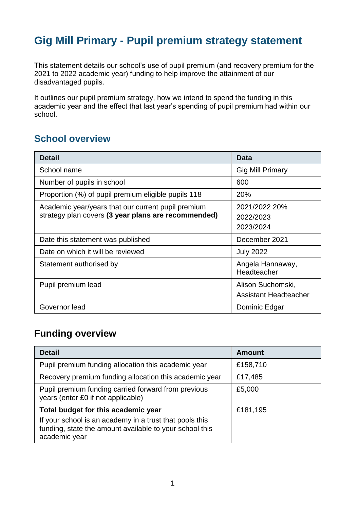# **Gig Mill Primary - Pupil premium strategy statement**

This statement details our school's use of pupil premium (and recovery premium for the 2021 to 2022 academic year) funding to help improve the attainment of our disadvantaged pupils.

It outlines our pupil premium strategy, how we intend to spend the funding in this academic year and the effect that last year's spending of pupil premium had within our school.

## **School overview**

| <b>Detail</b>                                       | <b>Data</b>                     |
|-----------------------------------------------------|---------------------------------|
| School name                                         | <b>Gig Mill Primary</b>         |
| Number of pupils in school                          | 600                             |
| Proportion (%) of pupil premium eligible pupils 118 | 20%                             |
| Academic year/years that our current pupil premium  | 2021/2022 20%                   |
| strategy plan covers (3 year plans are recommended) | 2022/2023                       |
|                                                     | 2023/2024                       |
| Date this statement was published                   | December 2021                   |
| Date on which it will be reviewed                   | <b>July 2022</b>                |
| Statement authorised by                             | Angela Hannaway,<br>Headteacher |
| Pupil premium lead                                  | Alison Suchomski,               |
|                                                     | <b>Assistant Headteacher</b>    |
| Governor lead                                       | Dominic Edgar                   |

## **Funding overview**

| <b>Detail</b>                                                                                                                       | <b>Amount</b> |
|-------------------------------------------------------------------------------------------------------------------------------------|---------------|
| Pupil premium funding allocation this academic year                                                                                 | £158,710      |
| Recovery premium funding allocation this academic year                                                                              | £17,485       |
| Pupil premium funding carried forward from previous<br>years (enter £0 if not applicable)                                           | £5,000        |
| Total budget for this academic year                                                                                                 | £181,195      |
| If your school is an academy in a trust that pools this<br>funding, state the amount available to your school this<br>academic year |               |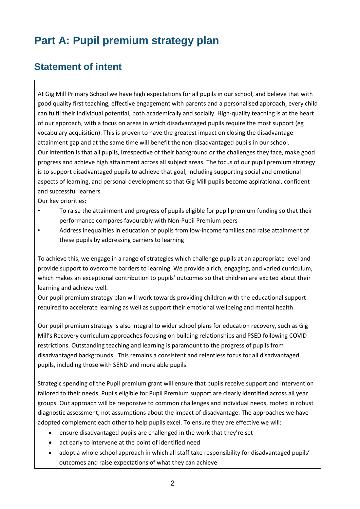# **Part A: Pupil premium strategy plan**

## **Statement of intent**

At Gig Mill Primary School we have high expectations for all pupils in our school, and believe that with good quality first teaching, effective engagement with parents and a personalised approach, every child can fulfil their individual potential, both academically and socially. High-quality teaching is at the heart of our approach, with a focus on areas in which disadvantaged pupils require the most support (eg vocabulary acquisition). This is proven to have the greatest impact on closing the disadvantage attainment gap and at the same time will benefit the non-disadvantaged pupils in our school. Our intention is that all pupils, irrespective of their background or the challenges they face, make good progress and achieve high attainment across all subject areas. The focus of our pupil premium strategy is to support disadvantaged pupils to achieve that goal, including supporting social and emotional aspects of learning, and personal development so that Gig Mill pupils become aspirational, confident and successful learners.

Our key priorities:

- To raise the attainment and progress of pupils eligible for pupil premium funding so that their performance compares favourably with Non-Pupil Premium peers
- Address inequalities in education of pupils from low-income families and raise attainment of these pupils by addressing barriers to learning

To achieve this, we engage in a range of strategies which challenge pupils at an appropriate level and provide support to overcome barriers to learning. We provide a rich, engaging, and varied curriculum, which makes an exceptional contribution to pupils' outcomes so that children are excited about their learning and achieve well.

Our pupil premium strategy plan will work towards providing children with the educational support required to accelerate learning as well as support their emotional wellbeing and mental health.

Our pupil premium strategy is also integral to wider school plans for education recovery, such as Gig Mill's Recovery curriculum approaches focusing on building relationships and PSED following COVID restrictions. Outstanding teaching and learning is paramount to the progress of pupils from disadvantaged backgrounds. This remains a consistent and relentless focus for all disadvantaged pupils, including those with SEND and more able pupils.

Strategic spending of the Pupil premium grant will ensure that pupils receive support and intervention tailored to their needs. Pupils eligible for Pupil Premium support are clearly identified across all year groups. Our approach will be responsive to common challenges and individual needs, rooted in robust diagnostic assessment, not assumptions about the impact of disadvantage. The approaches we have adopted complement each other to help pupils excel. To ensure they are effective we will:

- ensure disadvantaged pupils are challenged in the work that they're set
- act early to intervene at the point of identified need
- adopt a whole school approach in which all staff take responsibility for disadvantaged pupils' outcomes and raise expectations of what they can achieve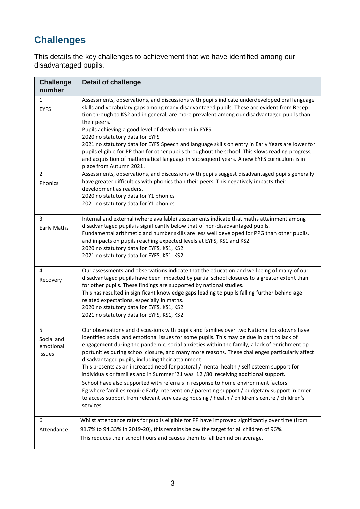## **Challenges**

This details the key challenges to achievement that we have identified among our disadvantaged pupils.

| <b>Challenge</b><br>number             | <b>Detail of challenge</b>                                                                                                                                                                                                                                                                                                                                                                                                                                                                                                                                                                                                                                                                                                                                                                                                                                                                                                             |
|----------------------------------------|----------------------------------------------------------------------------------------------------------------------------------------------------------------------------------------------------------------------------------------------------------------------------------------------------------------------------------------------------------------------------------------------------------------------------------------------------------------------------------------------------------------------------------------------------------------------------------------------------------------------------------------------------------------------------------------------------------------------------------------------------------------------------------------------------------------------------------------------------------------------------------------------------------------------------------------|
| $\mathbf{1}$<br><b>EYFS</b>            | Assessments, observations, and discussions with pupils indicate underdeveloped oral language<br>skills and vocabulary gaps among many disadvantaged pupils. These are evident from Recep-<br>tion through to KS2 and in general, are more prevalent among our disadvantaged pupils than<br>their peers.<br>Pupils achieving a good level of development in EYFS.<br>2020 no statutory data for EYFS<br>2021 no statutory data for EYFS Speech and language skills on entry in Early Years are lower for<br>pupils eligible for PP than for other pupils throughout the school. This slows reading progress,<br>and acquisition of mathematical language in subsequent years. A new EYFS curriculum is in<br>place from Autumn 2021.                                                                                                                                                                                                    |
| $\overline{2}$<br>Phonics              | Assessments, observations, and discussions with pupils suggest disadvantaged pupils generally<br>have greater difficulties with phonics than their peers. This negatively impacts their<br>development as readers.<br>2020 no statutory data for Y1 phonics<br>2021 no statutory data for Y1 phonics                                                                                                                                                                                                                                                                                                                                                                                                                                                                                                                                                                                                                                   |
| 3<br>Early Maths                       | Internal and external (where available) assessments indicate that maths attainment among<br>disadvantaged pupils is significantly below that of non-disadvantaged pupils.<br>Fundamental arithmetic and number skills are less well developed for PPG than other pupils,<br>and impacts on pupils reaching expected levels at EYFS, KS1 and KS2.<br>2020 no statutory data for EYFS, KS1, KS2<br>2021 no statutory data for EYFS, KS1, KS2                                                                                                                                                                                                                                                                                                                                                                                                                                                                                             |
| 4<br>Recovery                          | Our assessments and observations indicate that the education and wellbeing of many of our<br>disadvantaged pupils have been impacted by partial school closures to a greater extent than<br>for other pupils. These findings are supported by national studies.<br>This has resulted in significant knowledge gaps leading to pupils falling further behind age<br>related expectations, especially in maths.<br>2020 no statutory data for EYFS, KS1, KS2<br>2021 no statutory data for EYFS, KS1, KS2                                                                                                                                                                                                                                                                                                                                                                                                                                |
| 5<br>Social and<br>emotional<br>issues | Our observations and discussions with pupils and families over two National lockdowns have<br>identified social and emotional issues for some pupils. This may be due in part to lack of<br>engagement during the pandemic, social anxieties within the family, a lack of enrichment op-<br>portunities during school closure, and many more reasons. These challenges particularly affect<br>disadvantaged pupils, including their attainment.<br>This presents as an increased need for pastoral / mental health / self esteem support for<br>individuals or families and in Summer '21 was 12 /80 receiving additional support.<br>School have also supported with referrals in response to home environment factors<br>Eg where families require Early Intervention / parenting support / budgetary support in order<br>to access support from relevant services eg housing / health / children's centre / children's<br>services. |
| 6<br>Attendance                        | Whilst attendance rates for pupils eligible for PP have improved significantly over time (from<br>91.7% to 94.33% in 2019-20), this remains below the target for all children of 96%.<br>This reduces their school hours and causes them to fall behind on average.                                                                                                                                                                                                                                                                                                                                                                                                                                                                                                                                                                                                                                                                    |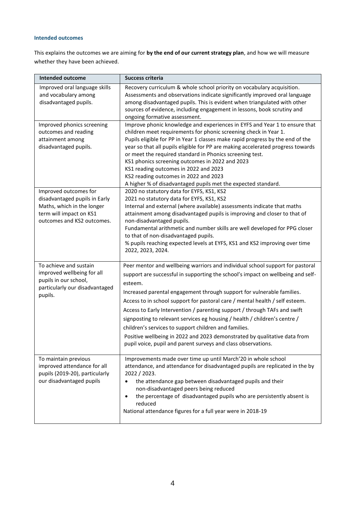#### **Intended outcomes**

This explains the outcomes we are aiming for **by the end of our current strategy plan**, and how we will measure whether they have been achieved.

| <b>Intended outcome</b>                                                                                                                       | <b>Success criteria</b>                                                                                                                                                                                                                                                                                                                                                                                                                                                                                                                                                                                                                                                                                 |
|-----------------------------------------------------------------------------------------------------------------------------------------------|---------------------------------------------------------------------------------------------------------------------------------------------------------------------------------------------------------------------------------------------------------------------------------------------------------------------------------------------------------------------------------------------------------------------------------------------------------------------------------------------------------------------------------------------------------------------------------------------------------------------------------------------------------------------------------------------------------|
| Improved oral language skills<br>and vocabulary among<br>disadvantaged pupils.                                                                | Recovery curriculum & whole school priority on vocabulary acquisition.<br>Assessments and observations indicate significantly improved oral language<br>among disadvantaged pupils. This is evident when triangulated with other<br>sources of evidence, including engagement in lessons, book scrutiny and<br>ongoing formative assessment.                                                                                                                                                                                                                                                                                                                                                            |
| Improved phonics screening<br>outcomes and reading<br>attainment among<br>disadvantaged pupils.                                               | Improve phonic knowledge and experiences in EYFS and Year 1 to ensure that<br>children meet requirements for phonic screening check in Year 1.<br>Pupils eligible for PP in Year 1 classes make rapid progress by the end of the<br>year so that all pupils eligible for PP are making accelerated progress towards<br>or meet the required standard in Phonics screening test.<br>KS1 phonics screening outcomes in 2022 and 2023<br>KS1 reading outcomes in 2022 and 2023<br>KS2 reading outcomes in 2022 and 2023<br>A higher % of disadvantaged pupils met the expected standard.                                                                                                                   |
| Improved outcomes for<br>disadvantaged pupils in Early<br>Maths, which in the longer<br>term will impact on KS1<br>outcomes and KS2 outcomes. | 2020 no statutory data for EYFS, KS1, KS2<br>2021 no statutory data for EYFS, KS1, KS2<br>Internal and external (where available) assessments indicate that maths<br>attainment among disadvantaged pupils is improving and closer to that of<br>non-disadvantaged pupils.<br>Fundamental arithmetic and number skills are well developed for PPG closer<br>to that of non-disadvantaged pupils.<br>% pupils reaching expected levels at EYFS, KS1 and KS2 improving over time<br>2022, 2023, 2024.                                                                                                                                                                                                     |
| To achieve and sustain<br>improved wellbeing for all<br>pupils in our school,<br>particularly our disadvantaged<br>pupils.                    | Peer mentor and wellbeing warriors and individual school support for pastoral<br>support are successful in supporting the school's impact on wellbeing and self-<br>esteem.<br>Increased parental engagement through support for vulnerable families.<br>Access to in school support for pastoral care / mental health / self esteem.<br>Access to Early Intervention / parenting support / through TAFs and swift<br>signposting to relevant services eg housing / health / children's centre /<br>children's services to support children and families.<br>Positive wellbeing in 2022 and 2023 demonstrated by qualitative data from<br>pupil voice, pupil and parent surveys and class observations. |
| To maintain previous<br>improved attendance for all<br>pupils (2019-20), particularly<br>our disadvantaged pupils                             | Improvements made over time up until March'20 in whole school<br>attendance, and attendance for disadvantaged pupils are replicated in the by<br>2022 / 2023.<br>the attendance gap between disadvantaged pupils and their<br>$\bullet$<br>non-disadvantaged peers being reduced<br>the percentage of disadvantaged pupils who are persistently absent is<br>$\bullet$<br>reduced<br>National attendance figures for a full year were in 2018-19                                                                                                                                                                                                                                                        |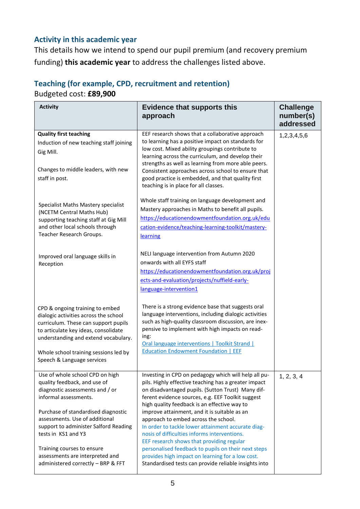#### **Activity in this academic year**

This details how we intend to spend our pupil premium (and recovery premium funding) **this academic year** to address the challenges listed above.

# **Teaching (for example, CPD, recruitment and retention)**

Budgeted cost: **£89,900**

| <b>Activity</b>                                                                                                                                                                                                                                                                                                                                                             | <b>Evidence that supports this</b><br>approach                                                                                                                                                                                                                                                                                                                                                                                                                                                                                                                                                                                                                                        | <b>Challenge</b><br>number(s)<br>addressed |
|-----------------------------------------------------------------------------------------------------------------------------------------------------------------------------------------------------------------------------------------------------------------------------------------------------------------------------------------------------------------------------|---------------------------------------------------------------------------------------------------------------------------------------------------------------------------------------------------------------------------------------------------------------------------------------------------------------------------------------------------------------------------------------------------------------------------------------------------------------------------------------------------------------------------------------------------------------------------------------------------------------------------------------------------------------------------------------|--------------------------------------------|
| <b>Quality first teaching</b><br>Induction of new teaching staff joining<br>Gig Mill.<br>Changes to middle leaders, with new<br>staff in post.                                                                                                                                                                                                                              | EEF research shows that a collaborative approach<br>to learning has a positive impact on standards for<br>low cost. Mixed ability groupings contribute to<br>learning across the curriculum, and develop their<br>strengths as well as learning from more able peers.<br>Consistent approaches across school to ensure that<br>good practice is embedded, and that quality first<br>teaching is in place for all classes.                                                                                                                                                                                                                                                             | 1,2,3,4,5,6                                |
| Specialist Maths Mastery specialist<br>(NCETM Central Maths Hub)<br>supporting teaching staff at Gig Mill<br>and other local schools through<br>Teacher Research Groups.                                                                                                                                                                                                    | Whole staff training on language development and<br>Mastery approaches in Maths to benefit all pupils.<br>https://educationendowmentfoundation.org.uk/edu<br>cation-evidence/teaching-learning-toolkit/mastery-<br>learning                                                                                                                                                                                                                                                                                                                                                                                                                                                           |                                            |
| Improved oral language skills in<br>Reception                                                                                                                                                                                                                                                                                                                               | NELI language intervention from Autumn 2020<br>onwards with all EYFS staff<br>https://educationendowmentfoundation.org.uk/proj<br>ects-and-evaluation/projects/nuffield-early-<br>language-intervention1                                                                                                                                                                                                                                                                                                                                                                                                                                                                              |                                            |
| CPD & ongoing training to embed<br>dialogic activities across the school<br>curriculum. These can support pupils<br>to articulate key ideas, consolidate<br>understanding and extend vocabulary.<br>Whole school training sessions led by<br>Speech & Language services                                                                                                     | There is a strong evidence base that suggests oral<br>language interventions, including dialogic activities<br>such as high-quality classroom discussion, are inex-<br>pensive to implement with high impacts on read-<br>ing:<br>Oral language interventions   Toolkit Strand  <br><b>Education Endowment Foundation   EEF</b>                                                                                                                                                                                                                                                                                                                                                       |                                            |
| Use of whole school CPD on high<br>quality feedback, and use of<br>diagnostic assessments and / or<br>informal assessments.<br>Purchase of standardised diagnostic<br>assessments. Use of additional<br>support to administer Salford Reading<br>tests in KS1 and Y3<br>Training courses to ensure<br>assessments are interpreted and<br>administered correctly - BRP & FFT | Investing in CPD on pedagogy which will help all pu-<br>pils. Highly effective teaching has a greater impact<br>on disadvantaged pupils. (Sutton Trust) Many dif-<br>ferent evidence sources, e.g. EEF Toolkit suggest<br>high quality feedback is an effective way to<br>improve attainment, and it is suitable as an<br>approach to embed across the school.<br>In order to tackle lower attainment accurate diag-<br>nosis of difficulties informs interventions.<br>EEF research shows that providing regular<br>personalised feedback to pupils on their next steps<br>provides high impact on learning for a low cost.<br>Standardised tests can provide reliable insights into | 1, 2, 3, 4                                 |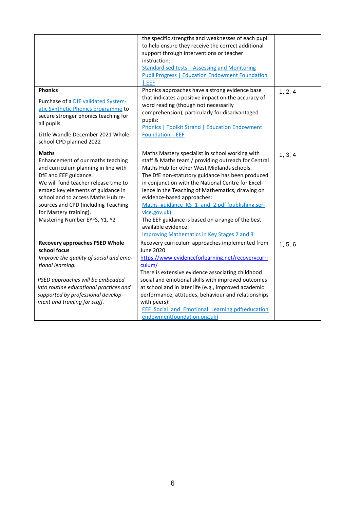|                                                                                                                                                                                                                                                                                                                                         | the specific strengths and weaknesses of each pupil<br>to help ensure they receive the correct additional<br>support through interventions or teacher<br>instruction:<br><b>Standardised tests   Assessing and Monitoring</b><br><b>Pupil Progress   Education Endowment Foundation</b><br>I EEF                                                                                                                                                                                                                                                    |         |
|-----------------------------------------------------------------------------------------------------------------------------------------------------------------------------------------------------------------------------------------------------------------------------------------------------------------------------------------|-----------------------------------------------------------------------------------------------------------------------------------------------------------------------------------------------------------------------------------------------------------------------------------------------------------------------------------------------------------------------------------------------------------------------------------------------------------------------------------------------------------------------------------------------------|---------|
| <b>Phonics</b><br>Purchase of a DfE validated System-<br>atic Synthetic Phonics programme to<br>secure stronger phonics teaching for<br>all pupils.<br>Little Wandle December 2021 Whole<br>school CPD planned 2022                                                                                                                     | Phonics approaches have a strong evidence base<br>that indicates a positive impact on the accuracy of<br>word reading (though not necessarily<br>comprehension), particularly for disadvantaged<br>pupils:<br><b>Phonics   Toolkit Strand   Education Endowment</b><br>Foundation   EEF                                                                                                                                                                                                                                                             | 1, 2, 4 |
| <b>Maths</b><br>Enhancement of our maths teaching<br>and curriculum planning in line with<br>DfE and EEF guidance.<br>We will fund teacher release time to<br>embed key elements of guidance in<br>school and to access Maths Hub re-<br>sources and CPD (including Teaching<br>for Mastery training).<br>Mastering Number EYFS, Y1, Y2 | Maths Mastery specialist in school working with<br>staff & Maths team / providing outreach for Central<br>Maths Hub for other West Midlands schools.<br>The DfE non-statutory guidance has been produced<br>in conjunction with the National Centre for Excel-<br>lence in the Teaching of Mathematics, drawing on<br>evidence-based approaches:<br>Maths guidance KS 1 and 2.pdf (publishing.ser-<br>vice.gov.uk)<br>The EEF guidance is based on a range of the best<br>available evidence:<br><b>Improving Mathematics in Key Stages 2 and 3</b> | 1, 3, 4 |
| <b>Recovery approaches PSED Whole</b><br>school focus<br>Improve the quality of social and emo-<br>tional learning.<br>PSED approaches will be embedded<br>into routine educational practices and<br>supported by professional develop-<br>ment and training for staff.                                                                 | Recovery curriculum approaches implemented from<br><b>June 2020</b><br>https://www.evidenceforlearning.net/recoverycurri<br>culum/<br>There is extensive evidence associating childhood<br>social and emotional skills with improved outcomes<br>at school and in later life (e.g., improved academic<br>performance, attitudes, behaviour and relationships<br>with peers):<br><b>EEF Social and Emotional Learning.pdf(education</b><br>endowmentfoundation.org.uk)                                                                               | 1, 5, 6 |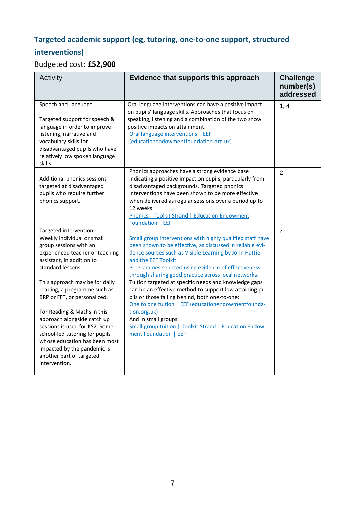## **Targeted academic support (eg, tutoring, one-to-one support, structured interventions)**

## Budgeted cost: **£52,900**

| Activity                                                                                                                                                                                                                                                                                                                                                                                                                                                                                                            | Evidence that supports this approach                                                                                                                                                                                                                                                                                                                                                                                                                                                                                                                                                                                                                                                    | <b>Challenge</b><br>number(s)<br>addressed |
|---------------------------------------------------------------------------------------------------------------------------------------------------------------------------------------------------------------------------------------------------------------------------------------------------------------------------------------------------------------------------------------------------------------------------------------------------------------------------------------------------------------------|-----------------------------------------------------------------------------------------------------------------------------------------------------------------------------------------------------------------------------------------------------------------------------------------------------------------------------------------------------------------------------------------------------------------------------------------------------------------------------------------------------------------------------------------------------------------------------------------------------------------------------------------------------------------------------------------|--------------------------------------------|
| Speech and Language<br>Targeted support for speech &<br>language in order to improve<br>listening, narrative and<br>vocabulary skills for<br>disadvantaged pupils who have<br>relatively low spoken language<br>skills.                                                                                                                                                                                                                                                                                             | Oral language interventions can have a positive impact<br>on pupils' language skills. Approaches that focus on<br>speaking, listening and a combination of the two show<br>positive impacts on attainment:<br>Oral language interventions   EEF<br>(educationendowmentfoundation.org.uk)                                                                                                                                                                                                                                                                                                                                                                                                | 1, 4                                       |
| Additional phonics sessions<br>targeted at disadvantaged<br>pupils who require further<br>phonics support.                                                                                                                                                                                                                                                                                                                                                                                                          | Phonics approaches have a strong evidence base<br>indicating a positive impact on pupils, particularly from<br>disadvantaged backgrounds. Targeted phonics<br>interventions have been shown to be more effective<br>when delivered as regular sessions over a period up to<br>12 weeks:<br>Phonics   Toolkit Strand   Education Endowment<br>Foundation   EEF                                                                                                                                                                                                                                                                                                                           | $\overline{2}$                             |
| Targeted intervention<br>Weekly individual or small<br>group sessions with an<br>experienced teacher or teaching<br>assistant, in addition to<br>standard lessons.<br>This approach may be for daily<br>reading, a programme such as<br>BRP or FFT, or personalized.<br>For Reading & Maths in this<br>approach alongside catch up<br>sessions is used for KS2. Some<br>school-led tutoring for pupils<br>whose education has been most<br>impacted by the pandemic is<br>another part of targeted<br>intervention. | Small group interventions with highly qualified staff have<br>been shown to be effective, as discussed in reliable evi-<br>dence sources such as Visible Learning by John Hattie<br>and the EEF Toolkit.<br>Programmes selected using evidence of effectiveness<br>through sharing good practice across local networks.<br>Tuition targeted at specific needs and knowledge gaps<br>can be an effective method to support low attaining pu-<br>pils or those falling behind, both one-to-one:<br>One to one tuition   EEF (educationendowmentfounda-<br>tion.org.uk)<br>And in small groups:<br><b>Small group tuition   Toolkit Strand   Education Endow-</b><br>ment Foundation   EEF | 4                                          |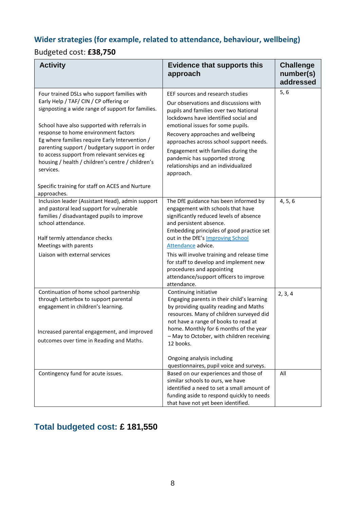## **Wider strategies (for example, related to attendance, behaviour, wellbeing)**

### Budgeted cost: **£38,750**

| <b>Activity</b>                                                                                                                                                                                                                                                                                                                                                                                                                                         | <b>Evidence that supports this</b><br>approach                                                                                                                                                                                                                                                                                                                                                                                          | <b>Challenge</b><br>number(s)<br>addressed |
|---------------------------------------------------------------------------------------------------------------------------------------------------------------------------------------------------------------------------------------------------------------------------------------------------------------------------------------------------------------------------------------------------------------------------------------------------------|-----------------------------------------------------------------------------------------------------------------------------------------------------------------------------------------------------------------------------------------------------------------------------------------------------------------------------------------------------------------------------------------------------------------------------------------|--------------------------------------------|
| Four trained DSLs who support families with<br>Early Help / TAF/ CIN / CP offering or<br>signposting a wide range of support for families.<br>School have also supported with referrals in<br>response to home environment factors<br>Eg where families require Early Intervention /<br>parenting support / budgetary support in order<br>to access support from relevant services eg<br>housing / health / children's centre / children's<br>services. | EEF sources and research studies<br>Our observations and discussions with<br>pupils and families over two National<br>lockdowns have identified social and<br>emotional issues for some pupils.<br>Recovery approaches and wellbeing<br>approaches across school support needs.<br>Engagement with families during the<br>pandemic has supported strong<br>relationships and an individualized<br>approach.                             | 5,6                                        |
| Specific training for staff on ACES and Nurture<br>approaches.                                                                                                                                                                                                                                                                                                                                                                                          |                                                                                                                                                                                                                                                                                                                                                                                                                                         |                                            |
| Inclusion leader (Assistant Head), admin support<br>and pastoral lead support for vulnerable<br>families / disadvantaged pupils to improve<br>school attendance.<br>Half termly attendance checks<br>Meetings with parents<br>Liaison with external services                                                                                                                                                                                            | The DfE guidance has been informed by<br>engagement with schools that have<br>significantly reduced levels of absence<br>and persistent absence.<br>Embedding principles of good practice set<br>out in the DfE's Improving School<br>Attendance advice.<br>This will involve training and release time<br>for staff to develop and implement new<br>procedures and appointing<br>attendance/support officers to improve<br>attendance. | 4, 5, 6                                    |
| Continuation of home school partnership<br>through Letterbox to support parental<br>engagement in children's learning.<br>Increased parental engagement, and improved<br>outcomes over time in Reading and Maths.                                                                                                                                                                                                                                       | Continuing initiative<br>Engaging parents in their child's learning<br>by providing quality reading and Maths<br>resources. Many of children surveyed did<br>not have a range of books to read at<br>home. Monthly for 6 months of the year<br>- May to October, with children receiving<br>12 books.<br>Ongoing analysis including                                                                                                     | 2, 3, 4                                    |
| Contingency fund for acute issues.                                                                                                                                                                                                                                                                                                                                                                                                                      | questionnaires, pupil voice and surveys.<br>Based on our experiences and those of<br>similar schools to ours, we have<br>identified a need to set a small amount of<br>funding aside to respond quickly to needs<br>that have not yet been identified.                                                                                                                                                                                  | All                                        |

## **Total budgeted cost: £ 181,550**